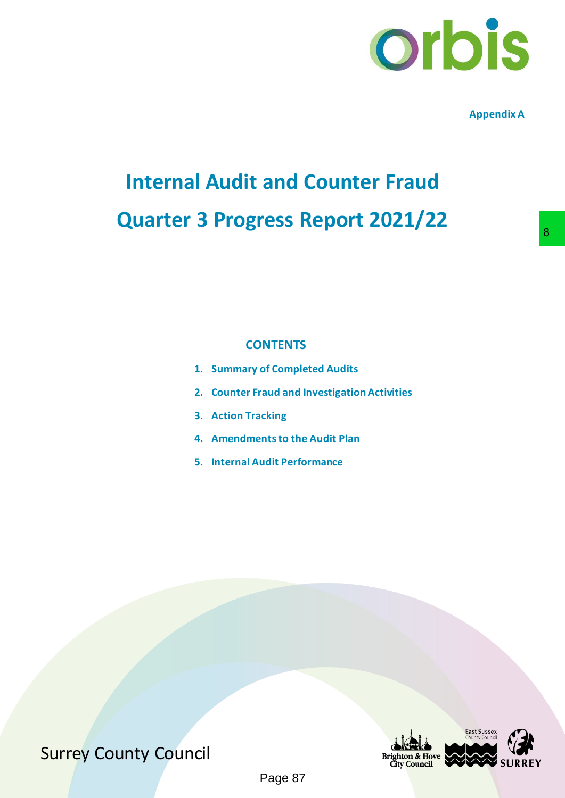

**Appendix A**

## **Internal Audit and Counter Fraud Quarter 3 Progress Report 2021/22**

### **CONTENTS**

- **1. Summary of Completed Audits**
- **2. Counter Fraud and Investigation Activities**
- **3. Action Tracking**
- **4. Amendments to the Audit Plan**
- **5. Internal Audit Performance**



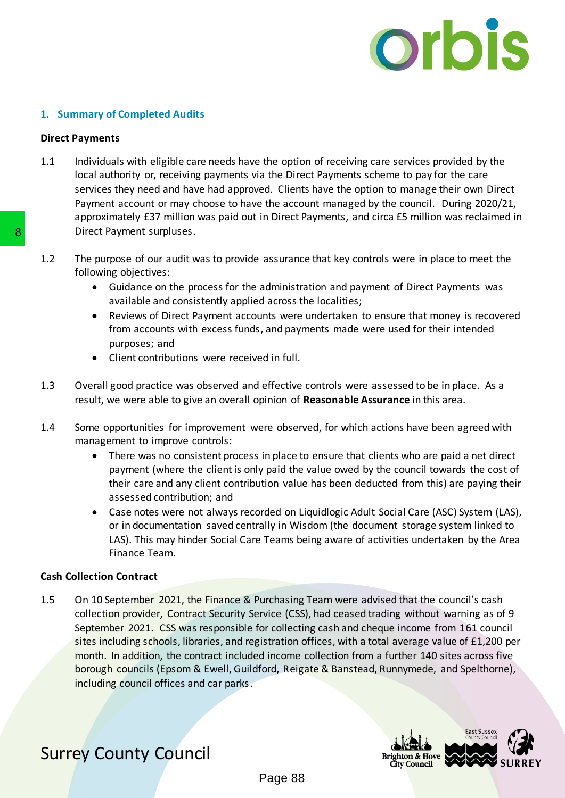

#### **1. Summary of Completed Audits**

#### **Direct Payments**

- 1.1 Individuals with eligible care needs have the option of receiving care services provided by the local authority or, receiving payments via the Direct Payments scheme to pay for the care services they need and have had approved. Clients have the option to manage their own Direct Payment account or may choose to have the account managed by the council. During 2020/21, approximately £37 million was paid out in Direct Payments, and circa £5 million was reclaimed in Direct Payment surpluses.
- 1.2 The purpose of our audit was to provide assurance that key controls were in place to meet the following objectives:
	- Guidance on the process for the administration and payment of Direct Payments was available and consistently applied across the localities;
	- Reviews of Direct Payment accounts were undertaken to ensure that money is recovered from accounts with excess funds, and payments made were used for their intended purposes; and
	- Client contributions were received in full.
- 1.3 Overall good practice was observed and effective controls were assessed to be in place. As a result, we were able to give an overall opinion of **Reasonable Assurance** in this area.
- 1.4 Some opportunities for improvement were observed, for which actions have been agreed with management to improve controls:
	- There was no consistent process in place to ensure that clients who are paid a net direct payment (where the client is only paid the value owed by the council towards the cost of their care and any client contribution value has been deducted from this) are paying their assessed contribution; and
	- Case notes were not always recorded on Liquidlogic Adult Social Care (ASC) System (LAS), or in documentation saved centrally in Wisdom (the document storage system linked to LAS). This may hinder Social Care Teams being aware of activities undertaken by the Area Finance Team.

#### **Cash Collection Contract**

1.5 On 10 September 2021, the Finance & Purchasing Team were advised that the council's cash collection provider, Contract Security Service (CSS), had ceased trading without warning as of 9 September 2021. CSS was responsible for collecting cash and cheque income from 161 council sites including schools, libraries, and registration offices, with a total average value of £1,200 per month. In addition, the contract included income collection from a further 140 sites across five borough councils (Epsom & Ewell, Guildford, Reigate & Banstead, Runnymede, and Spelthorne), including council offices and car parks. **B**<br>
Direct Payment surpluses.<br>
1.2 The purpose of our audit was to provide assurance<br>
following objectives:<br>
Cuidance on the process for the administrical and consistently applied across the<br>
Free Western Correct Payment

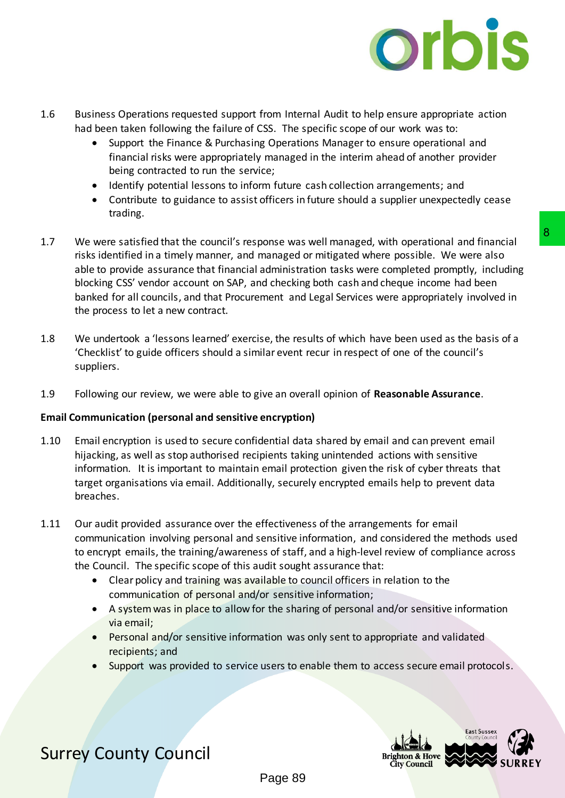

- 1.6 Business Operations requested support from Internal Audit to help ensure appropriate action had been taken following the failure of CSS. The specific scope of our work was to:
	- Support the Finance & Purchasing Operations Manager to ensure operational and financial risks were appropriately managed in the interim ahead of another provider being contracted to run the service;
	- Identify potential lessons to inform future cash collection arrangements; and
	- Contribute to guidance to assist officers in future should a supplier unexpectedly cease trading.
- 1.7 We were satisfied that the council's response was well managed, with operational and financial risks identified in a timely manner, and managed or mitigated where possible. We were also able to provide assurance that financial administration tasks were completed promptly, including blocking CSS' vendor account on SAP, and checking both cash and cheque income had been banked for all councils, and that Procurement and Legal Services were appropriately involved in the process to let a new contract. bonse was well managed, with operational and financial<br>ananaged or mitigated where possible. We were also<br>administration tasks were completed promptly, including<br>did checking both cash and cheque income had been<br>ment and L
- 1.8 We undertook a 'lessons learned' exercise, the results of which have been used as the basis of a 'Checklist' to guide officers should a similar event recur in respect of one of the council's suppliers.
- 1.9 Following our review, we were able to give an overall opinion of **Reasonable Assurance**.

#### **Email Communication (personal and sensitive encryption)**

- 1.10 Email encryption is used to secure confidential data shared by email and can prevent email hijacking, as well as stop authorised recipients taking unintended actions with sensitive information. It is important to maintain email protection given the risk of cyber threats that target organisations via email. Additionally, securely encrypted emails help to prevent data breaches.
- 1.11 Our audit provided assurance over the effectiveness of the arrangements for email communication involving personal and sensitive information, and considered the methods used to encrypt emails, the training/awareness of staff, and a high-level review of compliance across the Council. The specific scope of this audit sought assurance that:
	- Clear policy and training was available to council officers in relation to the communication of personal and/or sensitive information;
	- A system was in place to allow for the sharing of personal and/or sensitive information via email;
	- Personal and/or sensitive information was only sent to appropriate and validated recipients; and
	- Support was provided to service users to enable them to access secure email protocols.

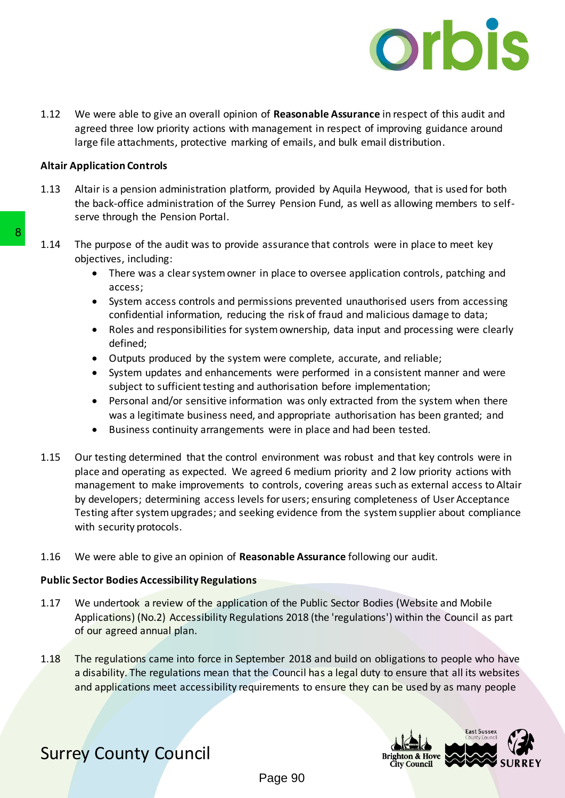

1.12 We were able to give an overall opinion of **Reasonable Assurance** in respect of this audit and agreed three low priority actions with management in respect of improving guidance around large file attachments, protective marking of emails, and bulk email distribution.

#### **Altair Application Controls**

- 1.13 Altair is a pension administration platform, provided by Aquila Heywood, that is used for both the back-office administration of the Surrey Pension Fund, as well as allowing members to selfserve through the Pension Portal.
- 1.14 The purpose of the audit was to provide assurance that controls were in place to meet key objectives, including:
	- There was a clear system owner in place to oversee application controls, patching and access;
	- System access controls and permissions prevented unauthorised users from accessing confidential information, reducing the risk of fraud and malicious damage to data;
	- Roles and responsibilities for system ownership, data input and processing were clearly defined;
	- Outputs produced by the system were complete, accurate, and reliable;
	- System updates and enhancements were performed in a consistent manner and were subject to sufficient testing and authorisation before implementation;
	- Personal and/or sensitive information was only extracted from the system when there was a legitimate business need, and appropriate authorisation has been granted; and
	- Business continuity arrangements were in place and had been tested.
- 1.15 Our testing determined that the control environment was robust and that key controls were in place and operating as expected. We agreed 6 medium priority and 2 low priority actions with management to make improvements to controls, covering areas such as external access to Altair by developers; determining access levels for users; ensuring completeness of User Acceptance Testing after system upgrades; and seeking evidence from the system supplier about compliance with security protocols. 1.14 The purpose of the audit was to provide assurance<br>
objectives, including:<br>
• There was a clear system owner in place to<br>
access;<br>
• System access controls and permissions problemental information, reducing the risk<br>
•
	- 1.16 We were able to give an opinion of **Reasonable Assurance** following our audit.

#### **Public Sector Bodies Accessibility Regulations**

- 1.17 We undertook a review of the application of the Public Sector Bodies (Website and Mobile Applications) (No.2) Accessibility Regulations 2018 (the 'regulations') within the Council as part of our agreed annual plan.
- 1.18 The regulations came into force in September 2018 and build on obligations to people who have a disability. The regulations mean that the Council has a legal duty to ensure that all its websites and applications meet accessibility requirements to ensure they can be used by as many people

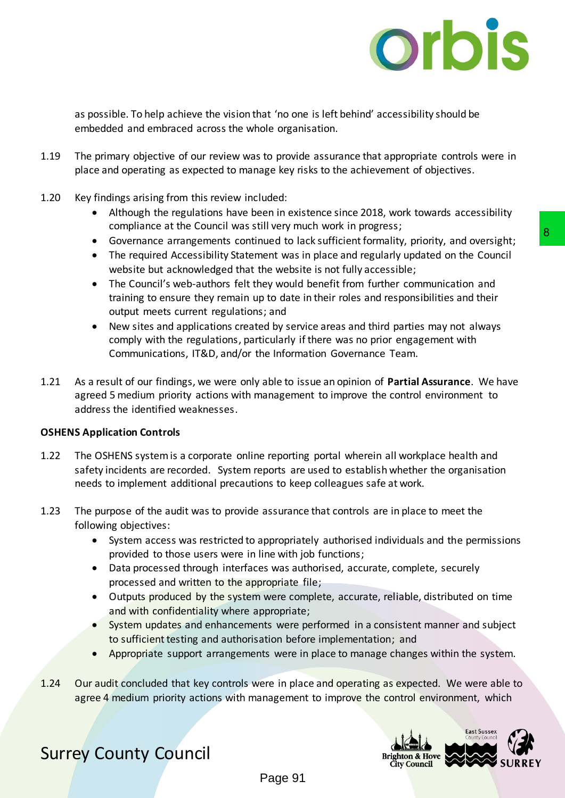

as possible. To help achieve the vision that 'no one is left behind' accessibility should be embedded and embraced across the whole organisation.

- 1.19 The primary objective of our review was to provide assurance that appropriate controls were in place and operating as expected to manage key risks to the achievement of objectives.
- 1.20 Key findings arising from this review included:
	- Although the regulations have been in existence since 2018, work towards accessibility compliance at the Council was still very much work in progress;
	- Governance arrangements continued to lack sufficient formality, priority, and oversight;
	- The required Accessibility Statement was in place and regularly updated on the Council website but acknowledged that the website is not fully accessible;
	- The Council's web-authors felt they would benefit from further communication and training to ensure they remain up to date in their roles and responsibilities and their output meets current regulations; and
	- New sites and applications created by service areas and third parties may not always comply with the regulations, particularly if there was no prior engagement with Communications, IT&D, and/or the Information Governance Team.
- 1.21 As a result of our findings, we were only able to issue an opinion of **Partial Assurance**. We have agreed 5 medium priority actions with management to improve the control environment to address the identified weaknesses. move, mean work my expects.<br>The deal of lock sufficient formality, priority, and oversight;<br>the website is not fully accessible;<br>the website is not fully accessible;<br>the website is not fully accessible;<br>they would benefit

#### **OSHENS Application Controls**

- 1.22 The OSHENS system is a corporate online reporting portal wherein all workplace health and safety incidents are recorded. System reports are used to establish whether the organisation needs to implement additional precautions to keep colleagues safe at work.
- 1.23 The purpose of the audit was to provide assurance that controls are in place to meet the following objectives:
	- System access was restricted to appropriately authorised individuals and the permissions provided to those users were in line with job functions;
	- Data processed through interfaces was authorised, accurate, complete, securely processed and written to the appropriate file;
	- Outputs produced by the system were complete, accurate, reliable, distributed on time and with confidentiality where appropriate;
	- System updates and enhancements were performed in a consistent manner and subject to sufficient testing and authorisation before implementation; and
	- Appropriate support arrangements were in place to manage changes within the system.
- 1.24 Our audit concluded that key controls were in place and operating as expected. We were able to agree 4 medium priority actions with management to improve the control environment, which

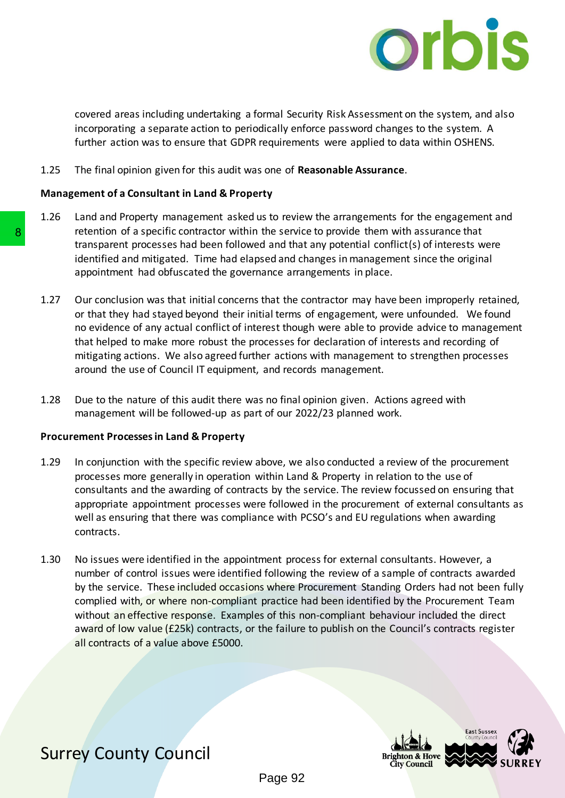

covered areas including undertaking a formal Security Risk Assessment on the system, and also incorporating a separate action to periodically enforce password changes to the system. A further action was to ensure that GDPR requirements were applied to data within OSHENS.

1.25 The final opinion given for this audit was one of **Reasonable Assurance**.

#### **Management of a Consultant in Land & Property**

- 1.26 Land and Property management asked us to review the arrangements for the engagement and retention of a specific contractor within the service to provide them with assurance that transparent processes had been followed and that any potential conflict(s) of interests were identified and mitigated. Time had elapsed and changes in management since the original appointment had obfuscated the governance arrangements in place.
- 1.27 Our conclusion was that initial concerns that the contractor may have been improperly retained, or that they had stayed beyond their initial terms of engagement, were unfounded. We found no evidence of any actual conflict of interest though were able to provide advice to management that helped to make more robust the processes for declaration of interests and recording of mitigating actions. We also agreed further actions with management to strengthen processes around the use of Council IT equipment, and records management.
- 1.28 Due to the nature of this audit there was no final opinion given. Actions agreed with management will be followed-up as part of our 2022/23 planned work.

#### **Procurement Processes in Land & Property**

- 1.29 In conjunction with the specific review above, we also conducted a review of the procurement processes more generally in operation within Land & Property in relation to the use of consultants and the awarding of contracts by the service. The review focussed on ensuring that appropriate appointment processes were followed in the procurement of external consultants as well as ensuring that there was compliance with PCSO's and EU regulations when awarding contracts.
- 1.30 No issues were identified in the appointment process for external consultants. However, a number of control issues were identified following the review of a sample of contracts awarded by the service. These included occasions where Procurement Standing Orders had not been fully complied with, or where non-compliant practice had been identified by the Procurement Team without an effective response. Examples of this non-compliant behaviour included the direct award of low value (£25k) contracts, or the failure to publish on the Council's contracts register all contracts of a value above £5000. retation of a specific contractor within the service transparent processes had been followed and the identified and mitigated. Time had elapsed and cappointment had obfuscated the governance arra 1.27 Our conclusion was th

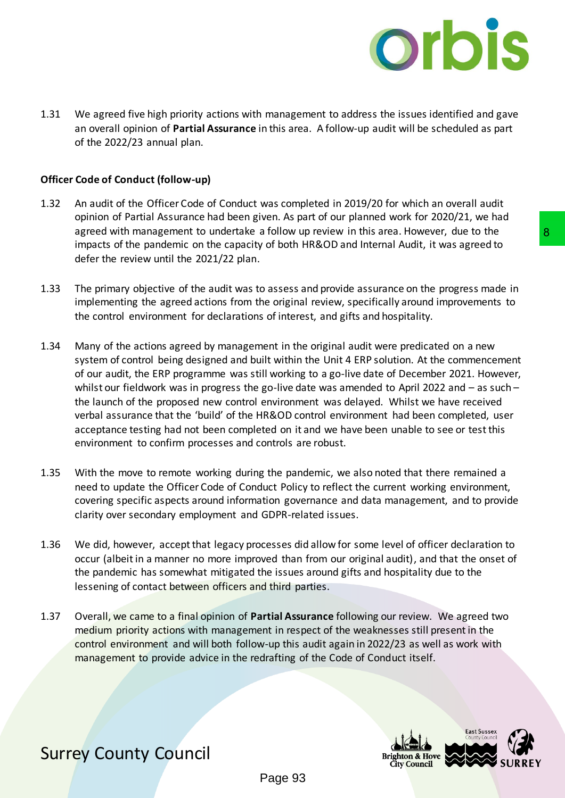

1.31 We agreed five high priority actions with management to address the issues identified and gave an overall opinion of **Partial Assurance** in this area. A follow-up audit will be scheduled as part of the 2022/23 annual plan.

#### **Officer Code of Conduct (follow-up)**

- 1.32 An audit of the Officer Code of Conduct was completed in 2019/20 for which an overall audit opinion of Partial Assurance had been given. As part of our planned work for 2020/21, we had agreed with management to undertake a follow up review in this area. However, due to the impacts of the pandemic on the capacity of both HR&OD and Internal Audit, it was agreed to defer the review until the 2021/22 plan.
- 1.33 The primary objective of the audit was to assess and provide assurance on the progress made in implementing the agreed actions from the original review, specifically around improvements to the control environment for declarations of interest, and gifts and hospitality.
- 1.34 Many of the actions agreed by management in the original audit were predicated on a new system of control being designed and built within the Unit 4 ERP solution. At the commencement of our audit, the ERP programme was still working to a go-live date of December 2021. However, whilst our fieldwork was in progress the go-live date was amended to April 2022 and – as such – the launch of the proposed new control environment was delayed. Whilst we have received verbal assurance that the 'build' of the HR&OD control environment had been completed, user acceptance testing had not been completed on it and we have been unable to see or test this environment to confirm processes and controls are robust. a follow up review in this area. However, due to the<br>
of both HR&OD and Internal Audit, it was agreed to<br>
o assess and provide assurance on the progress made in<br>
be original review, specifically around improvements to<br>
so
- 1.35 With the move to remote working during the pandemic, we also noted that there remained a need to update the Officer Code of Conduct Policy to reflect the current working environment, covering specific aspects around information governance and data management, and to provide clarity over secondary employment and GDPR-related issues.
- 1.36 We did, however, accept that legacy processes did allow for some level of officer declaration to occur (albeit in a manner no more improved than from our original audit), and that the onset of the pandemic has somewhat mitigated the issues around gifts and hospitality due to the lessening of contact between officers and third parties.
- 1.37 Overall, we came to a final opinion of **Partial Assurance** following our review. We agreed two medium priority actions with management in respect of the weaknesses still present in the control environment and will both follow-up this audit again in 2022/23 as well as work with management to provide advice in the redrafting of the Code of Conduct itself.

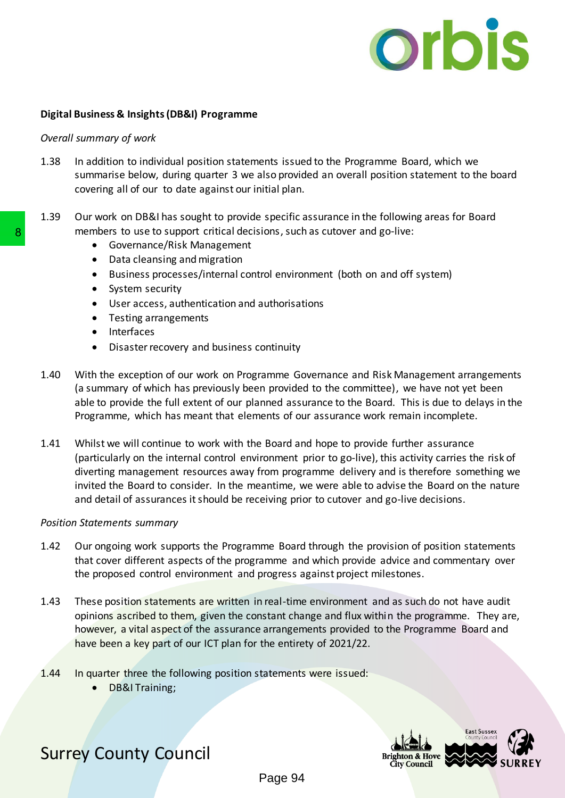

#### **Digital Business & Insights (DB&I) Programme**

#### *Overall summary of work*

- 1.38 In addition to individual position statements issued to the Programme Board, which we summarise below, during quarter 3 we also provided an overall position statement to the board covering all of our to date against our initial plan.
- 1.39 Our work on DB&I has sought to provide specific assurance in the following areas for Board members to use to support critical decisions, such as cutover and go-live:
	- Governance/Risk Management
	- Data cleansing and migration
	- Business processes/internal control environment (both on and off system)
	- System security
	- User access, authentication and authorisations
	- Testing arrangements
	- Interfaces
	- Disaster recovery and business continuity
- 1.40 With the exception of our work on Programme Governance and Risk Management arrangements (a summary of which has previously been provided to the committee), we have not yet been able to provide the full extent of our planned assurance to the Board. This is due to delays in the Programme, which has meant that elements of our assurance work remain incomplete.
- 1.41 Whilst we will continue to work with the Board and hope to provide further assurance (particularly on the internal control environment prior to go-live), this activity carries the risk of diverting management resources away from programme delivery and is therefore something we invited the Board to consider. In the meantime, we were able to advise the Board on the nature and detail of assurances it should be receiving prior to cutover and go-live decisions. **Example:** The substigue of critical decisions, such that the substigue spaces for the substigue spaces of the Busines process of the substituted the Busines process of the USER and the presence of the USER and the USER an

#### *Position Statements summary*

- 1.42 Our ongoing work supports the Programme Board through the provision of position statements that cover different aspects of the programme and which provide advice and commentary over the proposed control environment and progress against project milestones.
- 1.43 These position statements are written in real-time environment and as such do not have audit opinions ascribed to them, given the constant change and flux within the programme. They are, however, a vital aspect of the assurance arrangements provided to the Programme Board and have been a key part of our ICT plan for the entirety of 2021/22.
- 1.44 In quarter three the following position statements were issued:
	- DB&I Training;

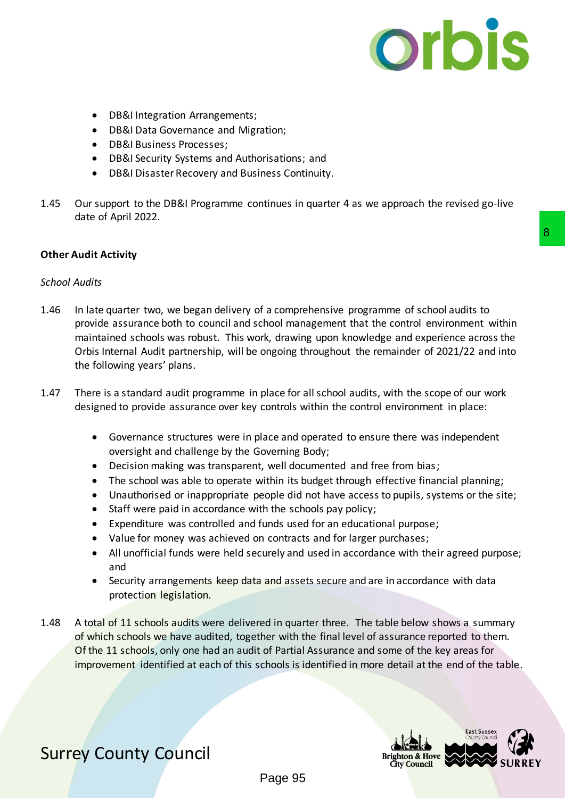

- DB&I Integration Arrangements;
- DB&I Data Governance and Migration;
- DB&I Business Processes;
- DB&I Security Systems and Authorisations; and
- DB&I Disaster Recovery and Business Continuity.
- 1.45 Our support to the DB&I Programme continues in quarter 4 as we approach the revised go-live date of April 2022.

#### **Other Audit Activity**

#### *School Audits*

- 1.46 In late quarter two, we began delivery of a comprehensive programme of school audits to provide assurance both to council and school management that the control environment within maintained schools was robust. This work, drawing upon knowledge and experience across the Orbis Internal Audit partnership, will be ongoing throughout the remainder of 2021/22 and into the following years' plans. **Example 18 8**<br> **Example 18 8**<br> **Example 18 8**<br> **Example 18 8**<br> **Example 19 8**<br> **Example 19 8**<br> **Example 19 8**<br> **Example 19 8**<br> **Example 18 8**<br> **Example 18 8**<br> **Example 18 8**<br> **Example 18 8**<br> **Example 18 8**<br> **Example 18 8**
- 1.47 There is a standard audit programme in place for all school audits, with the scope of our work designed to provide assurance over key controls within the control environment in place:
	- Governance structures were in place and operated to ensure there was independent oversight and challenge by the Governing Body;
	- Decision making was transparent, well documented and free from bias;
	- The school was able to operate within its budget through effective financial planning;
	- Unauthorised or inappropriate people did not have access to pupils, systems or the site;
	- Staff were paid in accordance with the schools pay policy;
	- Expenditure was controlled and funds used for an educational purpose;
	- Value for money was achieved on contracts and for larger purchases;
	- All unofficial funds were held securely and used in accordance with their agreed purpose; and
	- Security arrangements keep data and assets secure and are in accordance with data protection legislation.
- 1.48 A total of 11 schools audits were delivered in quarter three. The table below shows a summary of which schools we have audited, together with the final level of assurance reported to them. Of the 11 schools, only one had an audit of Partial Assurance and some of the key areas for improvement identified at each of this schools is identified in more detail at the end of the table.

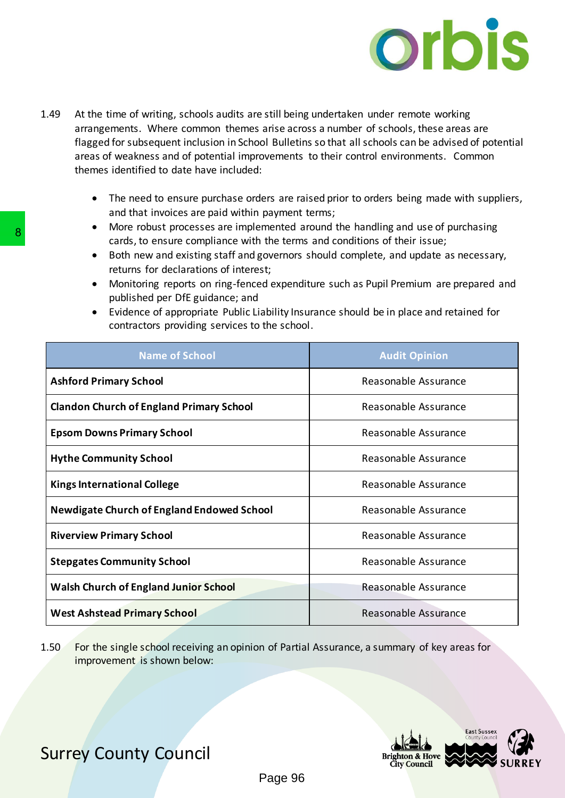

- 1.49 At the time of writing, schools audits are still being undertaken under remote working arrangements. Where common themes arise across a number of schools, these areas are flagged for subsequent inclusion in School Bulletins so that all schools can be advised of potential areas of weakness and of potential improvements to their control environments. Common themes identified to date have included:
	- The need to ensure purchase orders are raised prior to orders being made with suppliers, and that invoices are paid within payment terms;
	- More robust processes are implemented around the handling and use of purchasing cards, to ensure compliance with the terms and conditions of their issue;
	- Both new and existing staff and governors should complete, and update as necessary, returns for declarations of interest;
	- Monitoring reports on ring-fenced expenditure such as Pupil Premium are prepared and published per DfE guidance; and
	- Evidence of appropriate Public Liability Insurance should be in place and retained for contractors providing services to the school.

| <b>Name of School</b>                                                                                                              | <b>Audit Opinion</b>                 |  |
|------------------------------------------------------------------------------------------------------------------------------------|--------------------------------------|--|
| <b>Ashford Primary School</b>                                                                                                      | Reasonable Assurance                 |  |
| <b>Clandon Church of England Primary School</b>                                                                                    | Reasonable Assurance                 |  |
| <b>Epsom Downs Primary School</b>                                                                                                  | Reasonable Assurance                 |  |
| <b>Hythe Community School</b>                                                                                                      | Reasonable Assurance                 |  |
| <b>Kings International College</b>                                                                                                 | Reasonable Assurance                 |  |
| Newdigate Church of England Endowed School                                                                                         | Reasonable Assurance                 |  |
| <b>Riverview Primary School</b>                                                                                                    | Reasonable Assurance                 |  |
| <b>Stepgates Community School</b>                                                                                                  | Reasonable Assurance                 |  |
| <b>Walsh Church of England Junior School</b>                                                                                       | Reasonable Assurance                 |  |
| <b>West Ashstead Primary School</b>                                                                                                | Reasonable Assurance                 |  |
| For the single school receiving an opinion of Partial Assurance, a summary of key areas for<br>1.50<br>improvement is shown below: | <b>East Sussex</b><br>County Council |  |

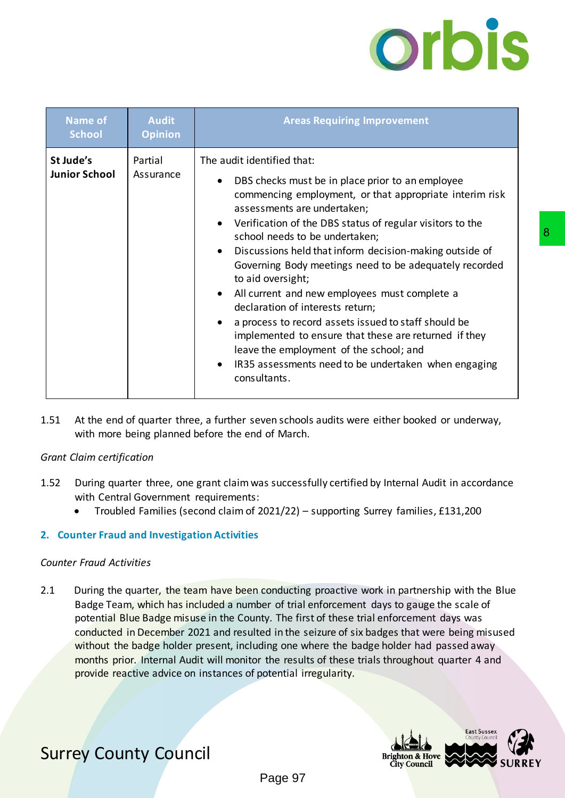# orbis

| <b>Name of</b><br><b>School</b>                      | <b>Audit</b><br><b>Opinion</b> | <b>Areas Requiring Improvement</b>                                                                                                                                                                                                                                                                                                                                                                                                                                                                                                                                                                                                                                                                                                                           |
|------------------------------------------------------|--------------------------------|--------------------------------------------------------------------------------------------------------------------------------------------------------------------------------------------------------------------------------------------------------------------------------------------------------------------------------------------------------------------------------------------------------------------------------------------------------------------------------------------------------------------------------------------------------------------------------------------------------------------------------------------------------------------------------------------------------------------------------------------------------------|
| St Jude's<br><b>Junior School</b>                    | Partial<br>Assurance           | The audit identified that:<br>DBS checks must be in place prior to an employee<br>commencing employment, or that appropriate interim risk<br>assessments are undertaken;<br>Verification of the DBS status of regular visitors to the<br>$\bullet$<br>school needs to be undertaken;<br>Discussions held that inform decision-making outside of<br>٠<br>Governing Body meetings need to be adequately recorded<br>to aid oversight;<br>All current and new employees must complete a<br>declaration of interests return;<br>a process to record assets issued to staff should be<br>implemented to ensure that these are returned if they<br>leave the employment of the school; and<br>IR35 assessments need to be undertaken when engaging<br>consultants. |
| .51<br>Grant Claim certification                     |                                | At the end of quarter three, a further seven schools audits were either booked or underway,<br>with more being planned before the end of March.                                                                                                                                                                                                                                                                                                                                                                                                                                                                                                                                                                                                              |
| .52<br>2. Counter Fraud and Investigation Activities |                                | During quarter three, one grant claim was successfully certified by Internal Audit in accordance<br>with Central Government requirements:<br>Troubled Families (second claim of 2021/22) - supporting Surrey families, £131,200                                                                                                                                                                                                                                                                                                                                                                                                                                                                                                                              |
| Counter Fraud Activities                             |                                |                                                                                                                                                                                                                                                                                                                                                                                                                                                                                                                                                                                                                                                                                                                                                              |
| 2.1                                                  |                                | During the quarter, the team have been conducting proactive work in partnership with the Blue<br>Badge Team, which has included a number of trial enforcement days to gauge the scale of<br>potential Blue Badge misuse in the County. The first of these trial enforcement days was<br>conducted in December 2021 and resulted in the seizure of six badges that were being misused<br>without the badge holder present, including one where the badge holder had passed away<br>months prior. Internal Audit will monitor the results of these trials throughout quarter 4 and<br>provide reactive advice on instances of potential irregularity.                                                                                                          |
|                                                      |                                |                                                                                                                                                                                                                                                                                                                                                                                                                                                                                                                                                                                                                                                                                                                                                              |
| <b>Surrey County Council</b>                         |                                | <b>East Sussex</b><br>ounty Counc                                                                                                                                                                                                                                                                                                                                                                                                                                                                                                                                                                                                                                                                                                                            |
|                                                      |                                | Bright<br><b>City Counci</b><br>Page 97                                                                                                                                                                                                                                                                                                                                                                                                                                                                                                                                                                                                                                                                                                                      |

#### *Grant Claim certification*

- 1.52 During quarter three, one grant claimwas successfully certified by Internal Audit in accordance with Central Government requirements:
	- Troubled Families (second claim of 2021/22) supporting Surrey families, £131,200

#### **2. Counter Fraud and Investigation Activities**

#### *Counter Fraud Activities*

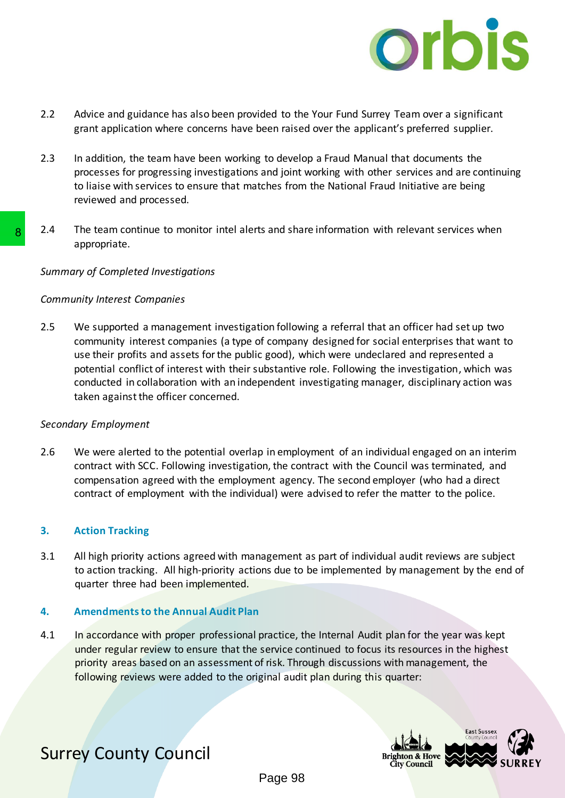

- 2.2 Advice and guidance has also been provided to the Your Fund Surrey Team over a significant grant application where concerns have been raised over the applicant's preferred supplier.
- 2.3 In addition, the team have been working to develop a Fraud Manual that documents the processes for progressing investigations and joint working with other services and are continuing to liaise with services to ensure that matches from the National Fraud Initiative are being reviewed and processed.
- 2.4 The team continue to monitor intel alerts and share information with relevant services when appropriate.

#### *Summary of Completed Investigations*

#### *Community Interest Companies*

2.5 We supported a management investigation following a referral that an officer had set up two community interest companies (a type of company designed for social enterprises that want to use their profits and assets for the public good), which were undeclared and represented a potential conflict of interest with their substantive role. Following the investigation, which was conducted in collaboration with an independent investigating manager, disciplinary action was taken against the officer concerned. 2.4 The team continue to monitor intel alerts and shall<br>appropriate.<br>Summary of Completed Investigations<br>Community Interest Companies<br>2.5 We supported a management investigation follow<br>community interest companies (a type

#### *Secondary Employment*

2.6 We were alerted to the potential overlap in employment of an individual engaged on an interim contract with SCC. Following investigation, the contract with the Council was terminated, and compensation agreed with the employment agency. The second employer (who had a direct contract of employment with the individual) were advised to refer the matter to the police.

#### **3. Action Tracking**

3.1 All high priority actions agreed with management as part of individual audit reviews are subject to action tracking. All high-priority actions due to be implemented by management by the end of quarter three had been implemented.

#### **4. Amendments to the Annual Audit Plan**

4.1 In accordance with proper professional practice, the Internal Audit plan for the year was kept under regular review to ensure that the service continued to focus its resources in the highest priority areas based on an assessment of risk. Through discussions with management, the following reviews were added to the original audit plan during this quarter:

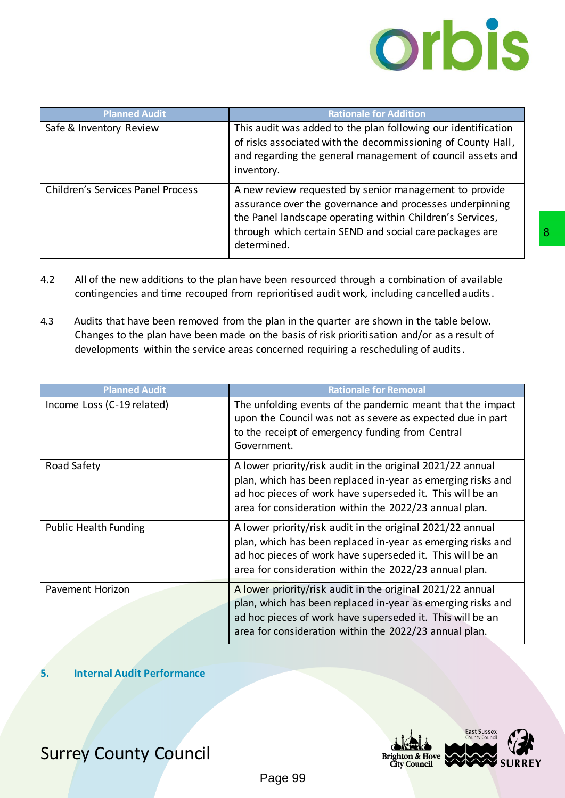## orbis

| <b>Planned Audit</b>                     | <b>Rationale for Addition</b>                                                                                                                                                                                                                             |
|------------------------------------------|-----------------------------------------------------------------------------------------------------------------------------------------------------------------------------------------------------------------------------------------------------------|
| Safe & Inventory Review                  | This audit was added to the plan following our identification<br>of risks associated with the decommissioning of County Hall,<br>and regarding the general management of council assets and<br>inventory.                                                 |
| <b>Children's Services Panel Process</b> | A new review requested by senior management to provide<br>assurance over the governance and processes underpinning<br>the Panel landscape operating within Children's Services,<br>through which certain SEND and social care packages are<br>determined. |

- 4.2 All of the new additions to the plan have been resourced through a combination of available contingencies and time recouped from reprioritised audit work, including cancelled audits.
- 4.3 Audits that have been removed from the plan in the quarter are shown in the table below. Changes to the plan have been made on the basis of risk prioritisation and/or as a result of developments within the service areas concerned requiring a rescheduling of audits.

|                                                                         | through which certain SEND and social care packages are<br>determined.                                                                                                                                                                                                                                                                                                                                                                                                       |
|-------------------------------------------------------------------------|------------------------------------------------------------------------------------------------------------------------------------------------------------------------------------------------------------------------------------------------------------------------------------------------------------------------------------------------------------------------------------------------------------------------------------------------------------------------------|
| 4.2<br>4.3                                                              | All of the new additions to the plan have been resourced through a combination of available<br>contingencies and time recouped from reprioritised audit work, including cancelled audits.<br>Audits that have been removed from the plan in the quarter are shown in the table below.<br>Changes to the plan have been made on the basis of risk prioritisation and/or as a result of<br>developments within the service areas concerned requiring a rescheduling of audits. |
| <b>Planned Audit</b>                                                    | <b>Rationale for Removal</b>                                                                                                                                                                                                                                                                                                                                                                                                                                                 |
| Income Loss (C-19 related)                                              | The unfolding events of the pandemic meant that the impact<br>upon the Council was not as severe as expected due in part<br>to the receipt of emergency funding from Central<br>Government.                                                                                                                                                                                                                                                                                  |
| Road Safety                                                             | A lower priority/risk audit in the original 2021/22 annual<br>plan, which has been replaced in-year as emerging risks and<br>ad hoc pieces of work have superseded it. This will be an<br>area for consideration within the 2022/23 annual plan.                                                                                                                                                                                                                             |
| <b>Public Health Funding</b>                                            | A lower priority/risk audit in the original 2021/22 annual<br>plan, which has been replaced in-year as emerging risks and<br>ad hoc pieces of work have superseded it. This will be an<br>area for consideration within the 2022/23 annual plan.                                                                                                                                                                                                                             |
| Pavement Horizon                                                        | A lower priority/risk audit in the original 2021/22 annual<br>plan, which has been replaced in-year as emerging risks and<br>ad hoc pieces of work have superseded it. This will be an<br>area for consideration within the 2022/23 annual plan.                                                                                                                                                                                                                             |
| <b>Internal Audit Performance</b><br>5.<br><b>Surrey County Council</b> | <b>East Sussex</b><br>County Counci<br><b>Brighton &amp; Hove</b>                                                                                                                                                                                                                                                                                                                                                                                                            |
|                                                                         | <b>City Council</b><br>Page 99                                                                                                                                                                                                                                                                                                                                                                                                                                               |

#### **5. Internal Audit Performance**

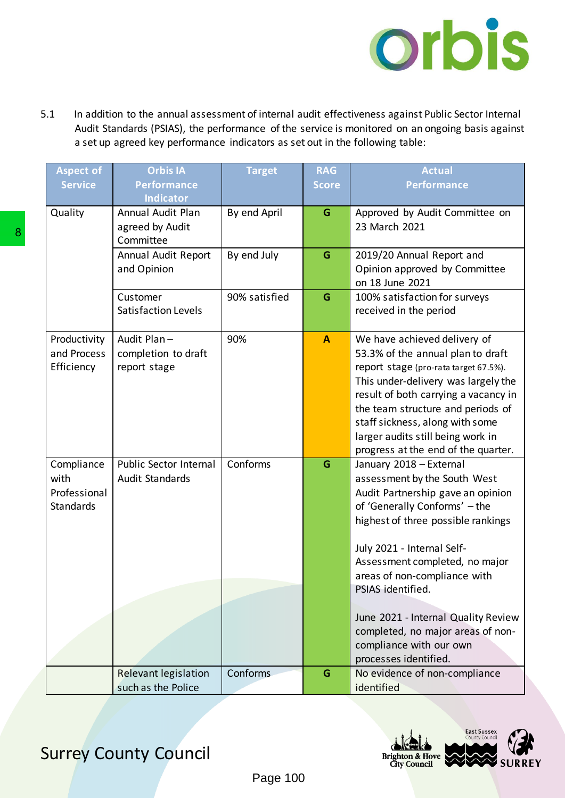

5.1 In addition to the annual assessment of internal audit effectiveness against Public Sector Internal Audit Standards (PSIAS), the performance of the service is monitored on an ongoing basis against a set up agreed key performance indicators as set out in the following table:

|   | <b>Aspect of</b>                                                           | <b>Orbis IA</b>                              | <b>Target</b> | <b>RAG</b>   | <b>Actual</b>                                                                |  |
|---|----------------------------------------------------------------------------|----------------------------------------------|---------------|--------------|------------------------------------------------------------------------------|--|
|   | <b>Service</b>                                                             | <b>Performance</b>                           |               | <b>Score</b> | <b>Performance</b>                                                           |  |
|   |                                                                            | <b>Indicator</b><br><b>Annual Audit Plan</b> |               |              |                                                                              |  |
|   | Quality                                                                    | agreed by Audit                              | By end April  | G            | Approved by Audit Committee on<br>23 March 2021                              |  |
| 8 |                                                                            | Committee                                    |               |              |                                                                              |  |
|   |                                                                            | Annual Audit Report                          | By end July   | G            | 2019/20 Annual Report and                                                    |  |
|   |                                                                            | and Opinion                                  |               |              | Opinion approved by Committee                                                |  |
|   |                                                                            |                                              | 90% satisfied |              | on 18 June 2021<br>100% satisfaction for surveys                             |  |
|   |                                                                            | Customer<br>Satisfaction Levels              |               | G            | received in the period                                                       |  |
|   |                                                                            |                                              |               |              |                                                                              |  |
|   | Productivity                                                               | Audit Plan-                                  | 90%           | $\mathbf{A}$ | We have achieved delivery of                                                 |  |
|   | and Process                                                                | completion to draft                          |               |              | 53.3% of the annual plan to draft                                            |  |
|   | Efficiency                                                                 | report stage                                 |               |              | report stage (pro-rata target 67.5%).<br>This under-delivery was largely the |  |
|   |                                                                            |                                              |               |              | result of both carrying a vacancy in                                         |  |
|   |                                                                            |                                              |               |              | the team structure and periods of                                            |  |
|   |                                                                            |                                              |               |              | staff sickness, along with some                                              |  |
|   |                                                                            |                                              |               |              | larger audits still being work in<br>progress at the end of the quarter.     |  |
|   | Compliance                                                                 | Public Sector Internal                       | Conforms      | G            | January 2018 - External                                                      |  |
|   | with                                                                       | <b>Audit Standards</b>                       |               |              | assessment by the South West                                                 |  |
|   | Professional                                                               |                                              |               |              | Audit Partnership gave an opinion                                            |  |
|   | <b>Standards</b>                                                           |                                              |               |              | of 'Generally Conforms' - the                                                |  |
|   |                                                                            |                                              |               |              | highest of three possible rankings                                           |  |
|   |                                                                            |                                              |               |              | July 2021 - Internal Self-                                                   |  |
|   |                                                                            |                                              |               |              | Assessment completed, no major                                               |  |
|   |                                                                            |                                              |               |              | areas of non-compliance with                                                 |  |
|   |                                                                            |                                              |               |              | PSIAS identified.                                                            |  |
|   |                                                                            |                                              |               |              | June 2021 - Internal Quality Review                                          |  |
|   |                                                                            |                                              |               |              | completed, no major areas of non-                                            |  |
|   |                                                                            |                                              |               |              | compliance with our own                                                      |  |
|   |                                                                            | <b>Relevant legislation</b>                  | Conforms      | G            | processes identified.<br>No evidence of non-compliance                       |  |
|   |                                                                            | such as the Police                           |               |              | identified                                                                   |  |
|   |                                                                            |                                              |               |              |                                                                              |  |
|   |                                                                            |                                              |               |              |                                                                              |  |
|   | <b>East Sussex</b><br>County Council                                       |                                              |               |              |                                                                              |  |
|   | <b>Surrey County Council</b><br><b>Brighton &amp; Hove</b><br>City Council |                                              |               |              |                                                                              |  |
|   | Page 100                                                                   |                                              |               |              |                                                                              |  |

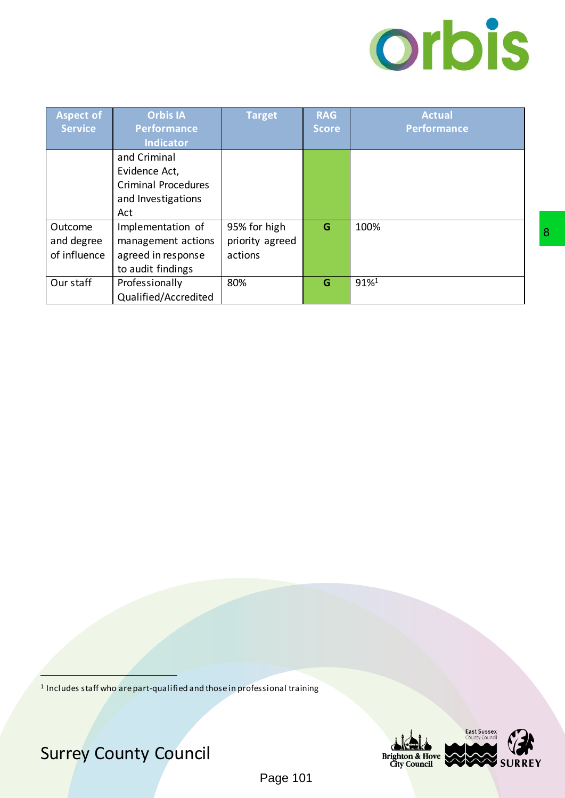

| <b>Aspect of</b> | <b>Orbis IA</b>                                                          | <b>Target</b>   | <b>RAG</b>   | <b>Actual</b>                              |   |
|------------------|--------------------------------------------------------------------------|-----------------|--------------|--------------------------------------------|---|
| <b>Service</b>   | <b>Performance</b>                                                       |                 | <b>Score</b> | <b>Performance</b>                         |   |
|                  | <b>Indicator</b>                                                         |                 |              |                                            |   |
|                  | and Criminal                                                             |                 |              |                                            |   |
|                  | Evidence Act,                                                            |                 |              |                                            |   |
|                  | <b>Criminal Procedures</b>                                               |                 |              |                                            |   |
|                  | and Investigations                                                       |                 |              |                                            |   |
|                  | Act                                                                      |                 |              |                                            |   |
| Outcome          | Implementation of                                                        | 95% for high    | $\mathbf G$  | 100%                                       | 8 |
| and degree       | management actions                                                       | priority agreed |              |                                            |   |
| of influence     | agreed in response                                                       | actions         |              |                                            |   |
|                  | to audit findings                                                        |                 |              |                                            |   |
| Our staff        | Professionally                                                           | 80%             | $\mathbf G$  | $91\%$ <sup>1</sup>                        |   |
|                  | Qualified/Accredited                                                     |                 |              |                                            |   |
|                  |                                                                          |                 |              |                                            |   |
|                  |                                                                          |                 |              |                                            |   |
|                  |                                                                          |                 |              |                                            |   |
|                  |                                                                          |                 |              |                                            |   |
|                  |                                                                          |                 |              |                                            |   |
|                  |                                                                          |                 |              |                                            |   |
|                  |                                                                          |                 |              |                                            |   |
|                  |                                                                          |                 |              |                                            |   |
|                  |                                                                          |                 |              |                                            |   |
|                  |                                                                          |                 |              |                                            |   |
|                  |                                                                          |                 |              |                                            |   |
|                  |                                                                          |                 |              |                                            |   |
|                  |                                                                          |                 |              |                                            |   |
|                  |                                                                          |                 |              |                                            |   |
|                  |                                                                          |                 |              |                                            |   |
|                  |                                                                          |                 |              |                                            |   |
|                  |                                                                          |                 |              |                                            |   |
|                  |                                                                          |                 |              |                                            |   |
|                  |                                                                          |                 |              |                                            |   |
|                  |                                                                          |                 |              |                                            |   |
|                  |                                                                          |                 |              |                                            |   |
|                  |                                                                          |                 |              |                                            |   |
|                  |                                                                          |                 |              |                                            |   |
|                  |                                                                          |                 |              |                                            |   |
|                  |                                                                          |                 |              |                                            |   |
|                  |                                                                          |                 |              |                                            |   |
|                  |                                                                          |                 |              |                                            |   |
|                  |                                                                          |                 |              |                                            |   |
|                  |                                                                          |                 |              |                                            |   |
|                  | Includes staff who are part-qualified and those in professional training |                 |              |                                            |   |
|                  |                                                                          |                 |              |                                            |   |
|                  |                                                                          |                 |              |                                            |   |
|                  |                                                                          |                 |              | East Sussex<br>County Council              |   |
|                  |                                                                          |                 |              |                                            |   |
|                  | <b>Surrey County Council</b>                                             |                 |              | <b>Brighton &amp; Hove</b><br>City Council |   |
|                  |                                                                          |                 |              |                                            |   |